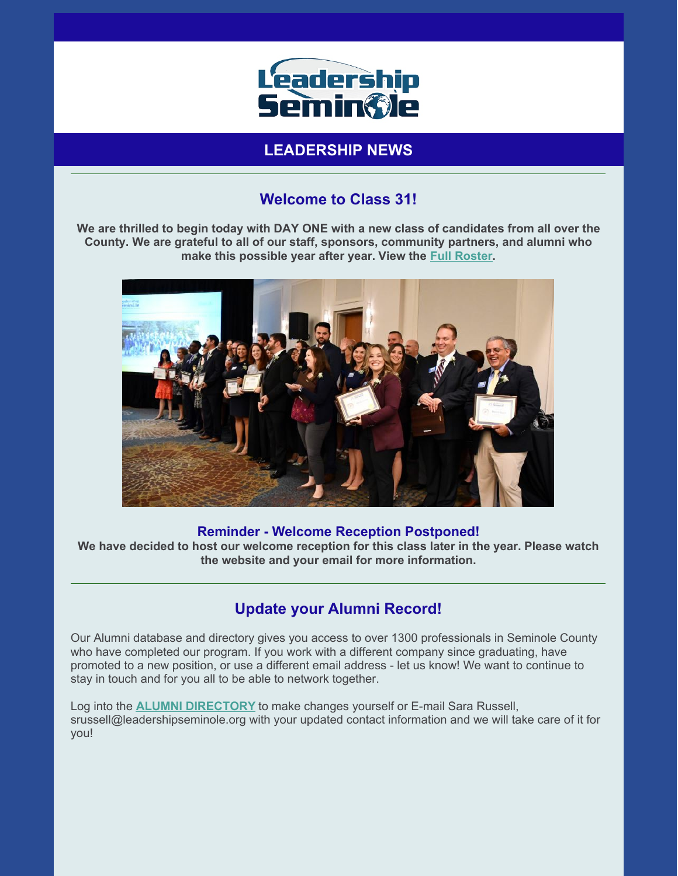

# **LEADERSHIP NEWS**

## **Welcome to Class 31!**

We are thrilled to begin today with DAY ONE with a new class of candidates from all over the **County. We are grateful to all of our staff, sponsors, community partners, and alumni who make this possible year after year. View the Full [Roster](https://files.constantcontact.com/206c3f27be/89e5e6c9-eac5-47e1-ac85-523d988eebdb.pdf).**



#### **Reminder - Welcome Reception Postponed!**

**We have decided to host our welcome reception for this class later in the year. Please watch the website and your email for more information.**

#### **Update your Alumni Record!**

Our Alumni database and directory gives you access to over 1300 professionals in Seminole County who have completed our program. If you work with a different company since graduating, have promoted to a new position, or use a different email address - let us know! We want to continue to stay in touch and for you all to be able to network together.

Log into the **ALUMNI [DIRECTORY](https://leadershipseminole.org/seminole-region/alumni-directory/)** to make changes yourself or E-mail Sara Russell, srussell@leadershipseminole.org with your updated contact information and we will take care of it for you!